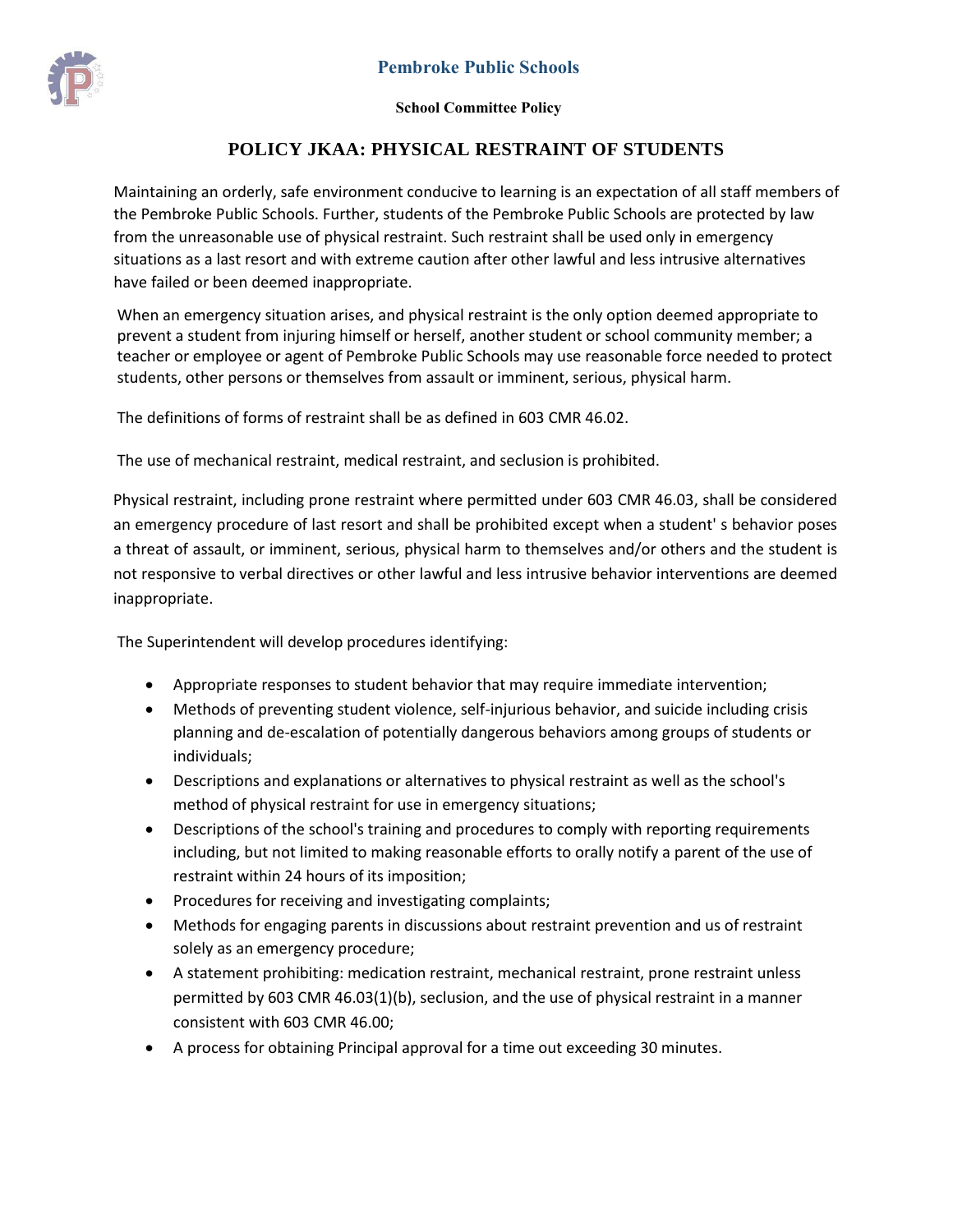

**School Committee Policy**

## **POLICY JKAA: PHYSICAL RESTRAINT OF STUDENTS**

Maintaining an orderly, safe environment conducive to learning is an expectation of all staff members of the Pembroke Public Schools. Further, students of the Pembroke Public Schools are protected by law from the unreasonable use of physical restraint. Such restraint shall be used only in emergency situations as a last resort and with extreme caution after other lawful and less intrusive alternatives have failed or been deemed inappropriate.

When an emergency situation arises, and physical restraint is the only option deemed appropriate to prevent a student from injuring himself or herself, another student or school community member; a teacher or employee or agent of Pembroke Public Schools may use reasonable force needed to protect students, other persons or themselves from assault or imminent, serious, physical harm.

The definitions of forms of restraint shall be as defined in 603 CMR 46.02.

The use of mechanical restraint, medical restraint, and seclusion is prohibited.

Physical restraint, including prone restraint where permitted under 603 CMR 46.03, shall be considered an emergency procedure of last resort and shall be prohibited except when a student' s behavior poses a threat of assault, or imminent, serious, physical harm to themselves and/or others and the student is not responsive to verbal directives or other lawful and less intrusive behavior interventions are deemed inappropriate.

The Superintendent will develop procedures identifying:

- Appropriate responses to student behavior that may require immediate intervention;
- Methods of preventing student violence, self-injurious behavior, and suicide including crisis planning and de-escalation of potentially dangerous behaviors among groups of students or individuals;
- Descriptions and explanations or alternatives to physical restraint as well as the school's method of physical restraint for use in emergency situations;
- Descriptions of the school's training and procedures to comply with reporting requirements including, but not limited to making reasonable efforts to orally notify a parent of the use of restraint within 24 hours of its imposition;
- Procedures for receiving and investigating complaints;
- Methods for engaging parents in discussions about restraint prevention and us of restraint solely as an emergency procedure;
- A statement prohibiting: medication restraint, mechanical restraint, prone restraint unless permitted by 603 CMR 46.03(1)(b), seclusion, and the use of physical restraint in a manner consistent with 603 CMR 46.00;
- A process for obtaining Principal approval for a time out exceeding 30 minutes.